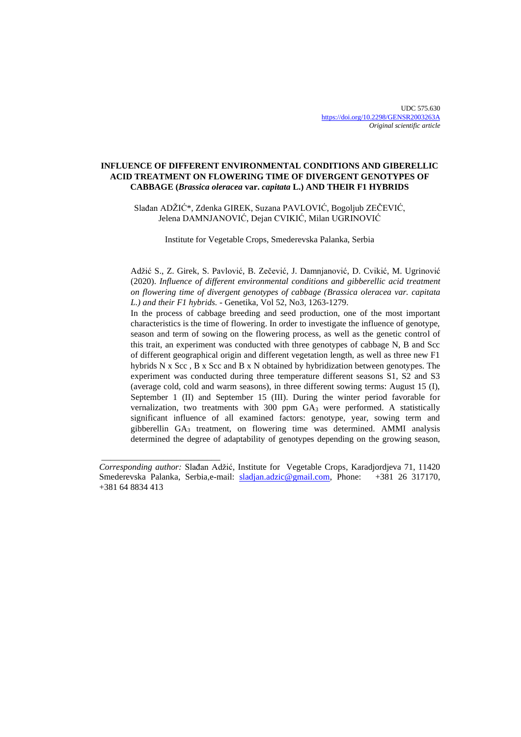# **INFLUENCE OF DIFFERENT ENVIRONMENTAL CONDITIONS AND GIBERELLIC ACID TREATMENT ON FLOWERING TIME OF DIVERGENT GENOTYPES OF CABBAGE (***Brassica oleracea* **var.** *capitata* **L.) AND THEIR F1 HYBRIDS**

Slađan ADŽIĆ\*, Zdenka GIREK, Suzana PAVLOVIĆ, Bogoljub ZEČEVIĆ, Jelena DAMNJANOVIĆ, Dejan CVIKIĆ, Milan UGRINOVIĆ

Institute for Vegetable Crops, Smederevska Palanka, Serbia

Adžić S., Z. Girek, S. Pavlović, B. Zečević, J. Damnjanović, D. Cvikić, M. Ugrinović (2020). *Influence of different environmental conditions and gibberellic acid treatment on flowering time of divergent genotypes of cabbage (Brassica oleracea var. capitata L.) and their F1 hybrids. -* Genetika, Vol 52, No3, 1263-1279.

In the process of cabbage breeding and seed production, one of the most important characteristics is the time of flowering. In order to investigate the influence of genotype, season and term of sowing on the flowering process, as well as the genetic control of this trait, an experiment was conducted with three genotypes of cabbage N, B and Scc of different geographical origin and different vegetation length, as well as three new F1 hybrids N x Scc , B x Scc and B x N obtained by hybridization between genotypes. The experiment was conducted during three temperature different seasons S1, S2 and S3 (average cold, cold and warm seasons), in three different sowing terms: August 15 (I), September 1 (II) and September 15 (III). During the winter period favorable for vernalization, two treatments with  $300$  ppm  $GA<sub>3</sub>$  were performed. A statistically significant influence of all examined factors: genotype, year, sowing term and gibberellin GA<sup>3</sup> treatment, on flowering time was determined. AMMI analysis determined the degree of adaptability of genotypes depending on the growing season,

\_\_\_\_\_\_\_\_\_\_\_\_\_\_\_\_\_\_\_\_\_\_\_\_\_\_\_

*Corresponding author:* Slađan Adžić, Institute for Vegetable Crops, Karadjordjeva 71, 11420 Smederevska Palanka, Serbia, e-mail: [sladjan.adzic@gmail.com,](mailto:sladjan.adzic@gmail.com) Phone: +381 64 8834 413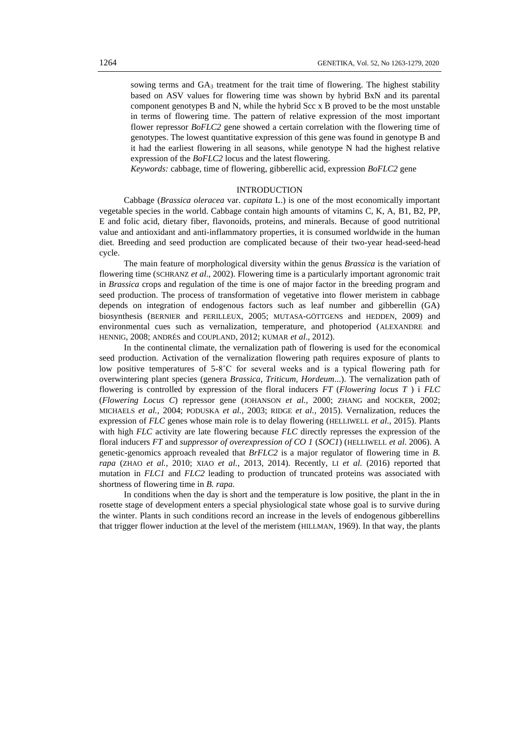sowing terms and  $GA_3$  treatment for the trait time of flowering. The highest stability based on ASV values for flowering time was shown by hybrid BxN and its parental component genotypes B and N, while the hybrid Scc x B proved to be the most unstable in terms of flowering time. The pattern of relative expression of the most important flower repressor *BoFLC2* gene showed a certain correlation with the flowering time of genotypes. The lowest quantitative expression of this gene was found in genotype B and it had the earliest flowering in all seasons, while genotype N had the highest relative expression of the *BoFLC2* locus and the latest flowering.

*Keywords:* cabbage, time of flowering, gibberellic acid, expression *BoFLC2* gene

# INTRODUCTION

Cabbage (*Brassica oleracea* var. *capitata* L.) is one of the most economically important vegetable species in the world. Cabbage contain high amounts of vitamins C, K, A, B1, B2, PP, E and folic acid, dietary fiber, flavonoids, proteins, and minerals. Because of good nutritional value and antioxidant and anti-inflammatory properties, it is consumed worldwide in the human diet. Breeding and seed production are complicated because of their two-year head-seed-head cycle.

The main feature of morphological diversity within the genus *Brassica* is the variation of flowering time (SCHRANZ *et al*., 2002). Flowering time is a particularly important agronomic trait in *Brassica* crops and regulation of the time is one of major factor in the breeding program and seed production. The process of transformation of vegetative into flower meristem in cabbage depends on integration of endogenous factors such as leaf number and gibberellin (GA) biosynthesis (BERNIER and PERILLEUX, 2005; MUTASA-GÖTTGENS and HEDDEN, 2009) and environmental cues such as vernalization, temperature, and photoperiod (ALEXANDRE and HENNIG, 2008; ANDRÉS and COUPLAND, 2012; KUMAR *et al*., 2012).

In the continental climate, the vernalization path of flowering is used for the economical seed production. Activation of the vernalization flowering path requires exposure of plants to low positive temperatures of 5-8˚C for several weeks and is a typical flowering path for overwintering plant species (genera *Brassica, Triticum, Hordeum*...). The vernalization path of flowering is controlled by expression of the floral inducers *FT* (*Flowering locus T* ) i *FLC*  (*Flowering Locus C*) repressor gene (JOHANSON *et al.,* 2000; ZHANG and NOCKER, 2002; MICHAELS *et al.,* 2004; PODUSKA *et al.,* 2003; RIDGE *et al.,* 2015). Vernalization, reduces the expression of *FLC* genes whose main role is to delay flowering (HELLIWELL *et al.*, 2015). Plants with high *FLC* activity are late flowering because *FLC* directly represses the expression of the floral inducers *FT* and *suppressor of overexpression of CO 1* (*SOC1*) (HELLIWELL *et al.* 2006). A genetic-genomics approach revealed that *BrFLC2* is a major regulator of flowering time in *B. rapa* (ZHAO *et al.,* 2010; XIAO *et al.*, 2013, 2014). Recently, LI *et al.* (2016) reported that mutation in *FLC1* and *FLC2* leading to production of truncated proteins was associated with shortness of flowering time in *B. rapa.*

In conditions when the day is short and the temperature is low positive, the plant in the in rosette stage of development enters a special physiological state whose goal is to survive during the winter. Plants in such conditions record an increase in the levels of endogenous gibberellins that trigger flower induction at the level of the meristem (HILLMAN, 1969). In that way, the plants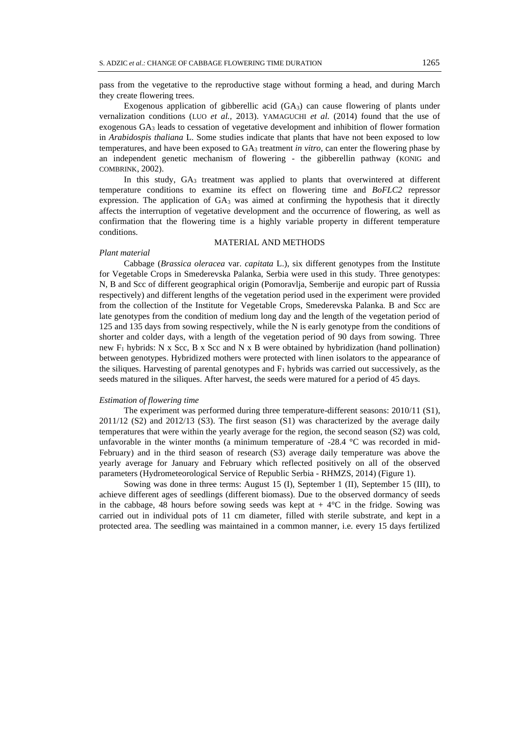Exogenous application of gibberellic acid (GA3) can cause flowering of plants under vernalization conditions (LUO *et al.,* 2013). YAMAGUCHI *et al.* (2014) found that the use of exogenous GA<sup>3</sup> leads to cessation of vegetative development and inhibition of flower formation in *Arabidospis thaliana* L. Some studies indicate that plants that have not been exposed to low temperatures, and have been exposed to GA<sup>3</sup> treatment *in vitro,* can enter the flowering phase by an independent genetic mechanism of flowering - the gibberellin pathway (KONIG and COMBRINK, 2002).

In this study, GA<sup>3</sup> treatment was applied to plants that overwintered at different temperature conditions to examine its effect on flowering time and *BoFLC2* repressor expression. The application of  $GA_3$  was aimed at confirming the hypothesis that it directly affects the interruption of vegetative development and the occurrence of flowering, as well as confirmation that the flowering time is a highly variable property in different temperature conditions.

### MATERIAL AND METHODS

## *Plant material*

Cabbage (*Brassica oleracea* var. *capitata* L.), six different genotypes from the Institute for Vegetable Crops in Smederevska Palanka, Serbia were used in this study. Three genotypes: N, B and Scc of different geographical origin (Pomoravlja, Semberije and europic part of Russia respectively) and different lengths of the vegetation period used in the experiment were provided from the collection of the Institute for Vegetable Crops, Smederevska Palanka. B and Scc are late genotypes from the condition of medium long day and the length of the vegetation period of 125 and 135 days from sowing respectively, while the N is early genotype from the conditions of shorter and colder days, with a length of the vegetation period of 90 days from sowing. Three new  $F_1$  hybrids: N x Scc, B x Scc and N x B were obtained by hybridization (hand pollination) between genotypes. Hybridized mothers were protected with linen isolators to the appearance of the siliques. Harvesting of parental genotypes and  $F_1$  hybrids was carried out successively, as the seeds matured in the siliques. After harvest, the seeds were matured for a period of 45 days.

# *Estimation of flowering time*

The experiment was performed during three temperature-different seasons: 2010/11 (S1), 2011/12 (S2) and 2012/13 (S3). The first season (S1) was characterized by the average daily temperatures that were within the yearly average for the region, the second season (S2) was cold, unfavorable in the winter months (a minimum temperature of  $-28.4$  °C was recorded in mid-February) and in the third season of research (S3) average daily temperature was above the yearly average for January and February which reflected positively on all of the observed parameters (Hydrometeorological Service of Republic Serbia - RHMZS, 2014) (Figure 1).

Sowing was done in three terms: August 15 (I), September 1 (II), September 15 (III), to achieve different ages of seedlings (different biomass). Due to the observed dormancy of seeds in the cabbage, 48 hours before sowing seeds was kept at  $+ 4^{\circ}C$  in the fridge. Sowing was carried out in individual pots of 11 cm diameter, filled with sterile substrate, and kept in a protected area. The seedling was maintained in a common manner, i.e. every 15 days fertilized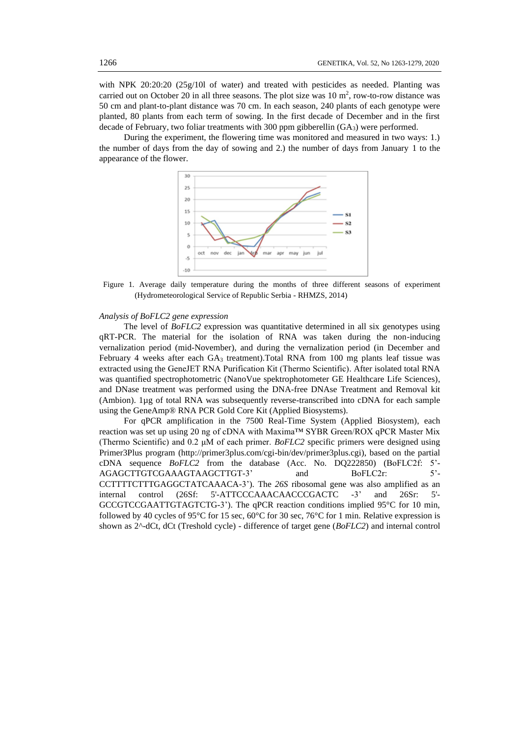with NPK 20:20:20 (25g/10l of water) and treated with pesticides as needed. Planting was carried out on October 20 in all three seasons. The plot size was  $10 \text{ m}^2$ , row-to-row distance was 50 cm and plant-to-plant distance was 70 cm. In each season, 240 plants of each genotype were planted, 80 plants from each term of sowing. In the first decade of December and in the first decade of February, two foliar treatments with 300 ppm gibberellin (GA3) were performed.

During the experiment, the flowering time was monitored and measured in two ways: 1.) the number of days from the day of sowing and 2.) the number of days from January 1 to the appearance of the flower.



Figure 1. Average daily temperature during the months of three different seasons of experiment (Hydrometeorological Service of Republic Serbia - RHMZS, 2014)

#### *Analysis of BoFLC2 gene expression*

The level of *BoFLC2* expression was quantitative determined in all six genotypes using qRT-PCR. The material for the isolation of RNA was taken during the non-inducing vernalization period (mid-November), and during the vernalization period (in December and February 4 weeks after each GA<sub>3</sub> treatment).Total RNA from 100 mg plants leaf tissue was extracted using the GeneJET RNA Purification Кit (Thermo Scientific). After isolated total RNA was quantified spectrophotometric (NanoVue spektrophotometer GE Healthcare Life Sciences), and DNase treatment was performed using the DNA-free DNAse Treatment and Removal kit (Ambion). 1µg of total RNA was subsequently reverse-transcribed into cDNA for each sample using the GeneAmp® RNA PCR Gold Core Kit (Applied Biosystems).

For qPCR amplification in the 7500 Real-Time System (Applied Biosystem), each reaction was set up using 20 ng of cDNA with Maxima™ SYBR Green/ROX qPCR Master Mix (Thermo Scientific) and 0.2 μM of each primer. *BoFLC2* specific primers were designed using Primer3Plus program (http://primer3plus.com/cgi-bin/dev/primer3plus.cgi), based on the partial cDNA sequence *BoFLC2* from the database (Acc. No. DQ222850) (BoFLC2f: 5'- AGAGCTTGTCGAAAGTAAGCTTGT-3' and BoFLC2r: 5'-CCTTTTCTTTGAGGCTATCAAACA-3'). The *26S* ribosomal gene was also amplified as an internal control (26Sf: 5'-ATTCCCAAACAACCCGACTC -3' and 26Sr: 5'- GCCGTCCGAATTGTAGTCTG-3'). The qPCR reaction conditions implied 95°C for 10 min, followed by 40 cycles of 95°C for 15 sec, 60°C for 30 sec, 76°C for 1 min. Relative expression is shown as 2^-dCt, dCt (Treshold cycle) - difference of target gene (*BoFLC2*) and internal control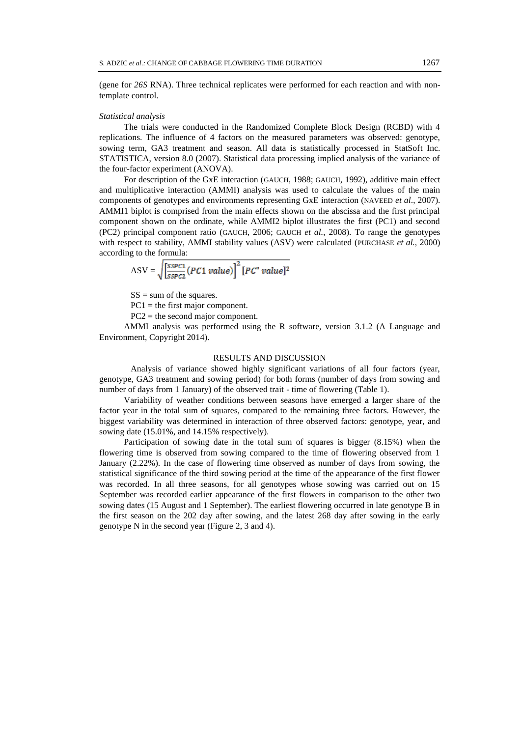(gene for *26S* RNA). Three technical replicates were performed for each reaction and with nontemplate control.

#### *Statistical analysis*

The trials were conducted in the Randomized Complete Block Design (RCBD) with 4 replications. The influence of 4 factors on the measured parameters was observed: genotype, sowing term, GA3 treatment and season. All data is statistically processed in StatSoft Inc. STATISTICA, version 8.0 (2007). Statistical data processing implied analysis of the variance of the four-factor experiment (ANOVA).

For description of the GxE interaction (GAUCH, 1988; GAUCH, 1992), additive main effect and multiplicative interaction (AMMI) analysis was used to calculate the values of the main components of genotypes and environments representing GxE interaction (NAVEED *et al*., 2007). AMMI1 biplot is comprised from the main effects shown on the abscissa and the first principal component shown on the ordinate, while AMMI2 biplot illustrates the first (PC1) and second (PC2) principal component ratio (GAUCH, 2006; GAUCH *et al.*, 2008). To range the genotypes with respect to stability, AMMI stability values (ASV) were calculated (PURCHASE *et al.*, 2000) according to the formula:

$$
ASV = \sqrt{\frac{SSPC1}{SSPC1}} (PC1 value)^{2} [PC" value]^{2}
$$

 $SS = sum of the squares.$ 

PC1 = the first major component.

PC2 = the second major component.

AMMI analysis was performed using the R software, version 3.1.2 (A Language and Environment, Copyright 2014).

# RESULTS AND DISCUSSION

Analysis of variance showed highly significant variations of all four factors (year, genotype, GA3 treatment and sowing period) for both forms (number of days from sowing and number of days from 1 January) of the observed trait - time of flowering (Table 1).

Variability of weather conditions between seasons have emerged a larger share of the factor year in the total sum of squares, compared to the remaining three factors. However, the biggest variability was determined in interaction of three observed factors: genotype, year, and sowing date (15.01%, and 14.15% respectively).

Participation of sowing date in the total sum of squares is bigger (8.15%) when the flowering time is observed from sowing compared to the time of flowering observed from 1 January (2.22%). In the case of flowering time observed as number of days from sowing, the statistical significance of the third sowing period at the time of the appearance of the first flower was recorded. In all three seasons, for all genotypes whose sowing was carried out on 15 September was recorded earlier appearance of the first flowers in comparison to the other two sowing dates (15 August and 1 September). The earliest flowering occurred in late genotype B in the first season on the 202 day after sowing, and the latest 268 day after sowing in the early genotype N in the second year (Figure 2, 3 and 4).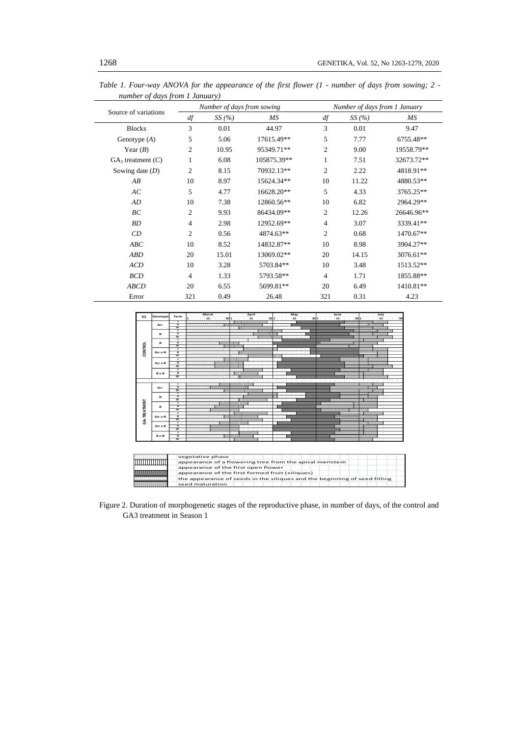|                                |                | Number of days from sowing |             | Number of days from 1 January |       |            |  |  |
|--------------------------------|----------------|----------------------------|-------------|-------------------------------|-------|------------|--|--|
| Source of variations<br>$d\!f$ |                | SS(%)                      | MS          | df                            | SS(%) | MS         |  |  |
| <b>Blocks</b>                  | 3              | 0.01                       | 44.97       | 3                             | 0.01  | 9.47       |  |  |
| Genotype $(A)$                 | 5              | 5.06                       | 17615.49**  | 5                             | 7.77  | 6755.48**  |  |  |
| Year $(B)$                     | $\overline{c}$ | 10.95                      | 95349.71**  | $\overline{c}$                | 9.00  | 19558.79** |  |  |
| $GA_3$ treatment $(C)$         | 1              | 6.08                       | 105875.39** | 1                             | 7.51  | 32673.72** |  |  |
| Sowing date $(D)$              | $\overline{2}$ | 8.15                       | 70932.13**  | $\overline{c}$                | 2.22  | 4818.91**  |  |  |
| AB                             | 10             | 8.97                       | 15624.34**  | 10                            | 11.22 | 4880.53**  |  |  |
| AC                             | 5              | 4.77                       | 16628.20**  | 5                             | 4.33  | 3765.25**  |  |  |
| AD                             | 10             | 7.38                       | 12860.56**  | 10                            | 6.82  | 2964.29**  |  |  |
| BC                             | $\overline{2}$ | 9.93                       | 86434.09**  | $\overline{c}$                | 12.26 | 26646.96** |  |  |
| BD                             | $\overline{4}$ | 2.98                       | 12952.69**  | $\overline{4}$                | 3.07  | 3339.41**  |  |  |
| CD                             | $\overline{2}$ | 0.56                       | 4874.63**   | 2                             | 0.68  | 1470.67**  |  |  |
| ABC                            | 10             | 8.52                       | 14832.87**  | 10                            | 8.98  | 3904.27**  |  |  |
| <b>ABD</b>                     | 20             | 15.01                      | 13069.02**  | 20                            | 14.15 | 3076.61**  |  |  |
| <b>ACD</b>                     | 10             | 3.28                       | 5703.84**   | 10                            | 3.48  | 1513.52**  |  |  |
| <b>BCD</b>                     | $\overline{4}$ | 1.33                       | 5793.58**   | $\overline{4}$                | 1.71  | 1855.88**  |  |  |
| <b>ABCD</b>                    | 20             | 6.55                       | 5699.81**   | 20                            | 6.49  | 1410.81**  |  |  |
| Error                          | 321            | 0.49                       | 26.48       | 321                           | 0.31  | 4.23       |  |  |

*Table 1. Four-way ANOVA for the appearance of the first flower (1 - number of days from sowing; 2 number of days from 1 January)*



Figure 2. Duration of morphogenetic stages of the reproductive phase, in number of days, of the control and GA3 treatment in Season 1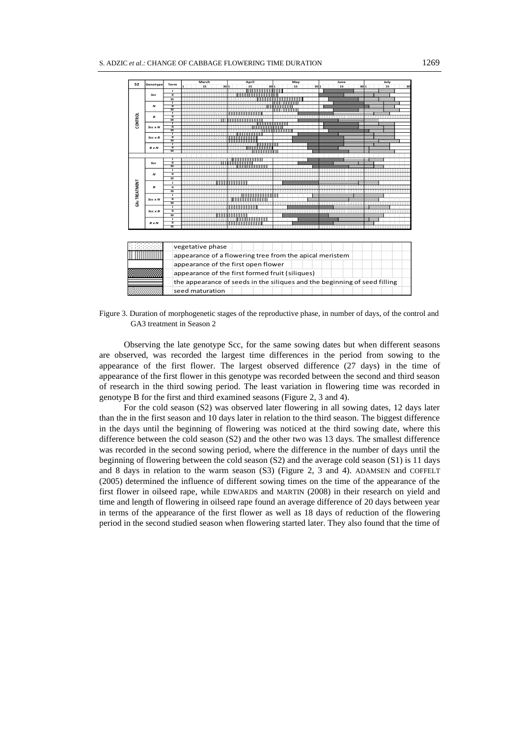| S <sub>2</sub>       | Genotype                                                                                       |                                                                           | March                                           |  | April |               | May |    |    | June     | July     |  |
|----------------------|------------------------------------------------------------------------------------------------|---------------------------------------------------------------------------|-------------------------------------------------|--|-------|---------------|-----|----|----|----------|----------|--|
|                      |                                                                                                | Term                                                                      | 15                                              |  | 15    |               |     | 15 | 30 | 15<br>30 | 15<br>30 |  |
|                      |                                                                                                | $\mathbf{I}$                                                              |                                                 |  |       |               |     |    |    |          |          |  |
|                      | Scc                                                                                            | π                                                                         |                                                 |  |       |               |     |    |    |          |          |  |
| <b>CONTROL</b>       |                                                                                                | ш<br>т                                                                    |                                                 |  |       |               |     |    |    |          |          |  |
|                      | $\boldsymbol{\mathsf{N}}$                                                                      | π                                                                         |                                                 |  |       |               |     |    |    |          |          |  |
|                      |                                                                                                | ╥                                                                         |                                                 |  |       |               |     |    |    |          |          |  |
|                      | B                                                                                              | т                                                                         |                                                 |  |       |               |     |    |    |          |          |  |
|                      |                                                                                                | π<br>Ш                                                                    |                                                 |  |       |               |     |    |    |          |          |  |
|                      |                                                                                                | т                                                                         |                                                 |  |       |               |     |    |    |          |          |  |
|                      | Scc x N                                                                                        | π                                                                         |                                                 |  |       |               |     |    |    |          |          |  |
|                      |                                                                                                | Ш<br>т                                                                    |                                                 |  |       |               |     |    |    |          |          |  |
|                      | $Scc \times B$                                                                                 | π                                                                         |                                                 |  |       |               |     |    |    |          |          |  |
|                      |                                                                                                | Ш                                                                         |                                                 |  |       |               |     |    |    |          |          |  |
|                      |                                                                                                | т                                                                         |                                                 |  |       | T 1 1 1 1 1 1 |     |    |    |          |          |  |
|                      | <b>B</b> x N                                                                                   | π<br>$\overline{\mathfrak{m}}$                                            |                                                 |  |       |               |     |    |    |          |          |  |
|                      |                                                                                                |                                                                           |                                                 |  |       |               |     |    |    |          |          |  |
|                      |                                                                                                | т                                                                         |                                                 |  |       |               |     |    |    |          |          |  |
|                      | Scc                                                                                            | π                                                                         |                                                 |  |       |               |     |    |    |          |          |  |
|                      |                                                                                                | ш                                                                         |                                                 |  |       |               |     |    |    |          |          |  |
|                      | $\boldsymbol{\mathsf{N}}$                                                                      | $\mathbf{I}$<br>π                                                         |                                                 |  |       |               |     |    |    |          |          |  |
|                      |                                                                                                | ш                                                                         |                                                 |  |       |               |     |    |    |          |          |  |
|                      |                                                                                                | T                                                                         |                                                 |  |       |               |     |    |    |          |          |  |
| <b>GA3 TREATMENT</b> | в                                                                                              | $\mathbf{u}$                                                              |                                                 |  |       |               |     |    |    |          |          |  |
|                      |                                                                                                | ш                                                                         |                                                 |  |       |               |     |    |    |          |          |  |
|                      |                                                                                                | т                                                                         |                                                 |  |       |               |     |    |    |          |          |  |
|                      | Scc x N                                                                                        | π                                                                         |                                                 |  |       |               |     |    |    |          |          |  |
|                      |                                                                                                | ш                                                                         |                                                 |  |       |               |     |    |    |          |          |  |
|                      |                                                                                                | ī                                                                         |                                                 |  |       |               |     |    |    |          |          |  |
|                      | $Scc \times B$                                                                                 | $\overline{\mathbf{u}}$<br>ш                                              |                                                 |  |       |               |     |    |    |          |          |  |
|                      |                                                                                                | J.                                                                        |                                                 |  |       |               |     |    |    |          |          |  |
|                      | <b>B</b> x N                                                                                   | π                                                                         |                                                 |  |       |               |     |    |    |          |          |  |
|                      |                                                                                                | Ш                                                                         |                                                 |  |       |               |     |    |    |          |          |  |
|                      |                                                                                                |                                                                           | vegetative phase                                |  |       |               |     |    |    |          |          |  |
|                      | appearance of a flowering tree from the apical meristem<br>appearance of the first open flower |                                                                           |                                                 |  |       |               |     |    |    |          |          |  |
|                      |                                                                                                |                                                                           | appearance of the first formed fruit (siliques) |  |       |               |     |    |    |          |          |  |
|                      |                                                                                                | the appearance of seeds in the siliques and the beginning of seed filling |                                                 |  |       |               |     |    |    |          |          |  |
|                      |                                                                                                | seed maturation                                                           |                                                 |  |       |               |     |    |    |          |          |  |

Figure 3. Duration of morphogenetic stages of the reproductive phase, in number of days, of the control and GA3 treatment in Season 2

Observing the late genotype Scc, for the same sowing dates but when different seasons are observed, was recorded the largest time differences in the period from sowing to the appearance of the first flower. The largest observed difference (27 days) in the time of appearance of the first flower in this genotype was recorded between the second and third season of research in the third sowing period. The least variation in flowering time was recorded in genotype B for the first and third examined seasons (Figure 2, 3 and 4).

For the cold season (S2) was observed later flowering in all sowing dates, 12 days later than the in the first season and 10 days later in relation to the third season. The biggest difference in the days until the beginning of flowering was noticed at the third sowing date, where this difference between the cold season (S2) and the other two was 13 days. The smallest difference was recorded in the second sowing period, where the difference in the number of days until the beginning of flowering between the cold season (S2) and the average cold season (S1) is 11 days and 8 days in relation to the warm season (S3) (Figure 2, 3 and 4). ADAMSEN and COFFELT (2005) determined the influence of different sowing times on the time of the appearance of the first flower in oilseed rape, while EDWARDS and MARTIN (2008) in their research on yield and time and length of flowering in oilseed rape found an average difference of 20 days between year in terms of the appearance of the first flower as well as 18 days of reduction of the flowering period in the second studied season when flowering started later. They also found that the time of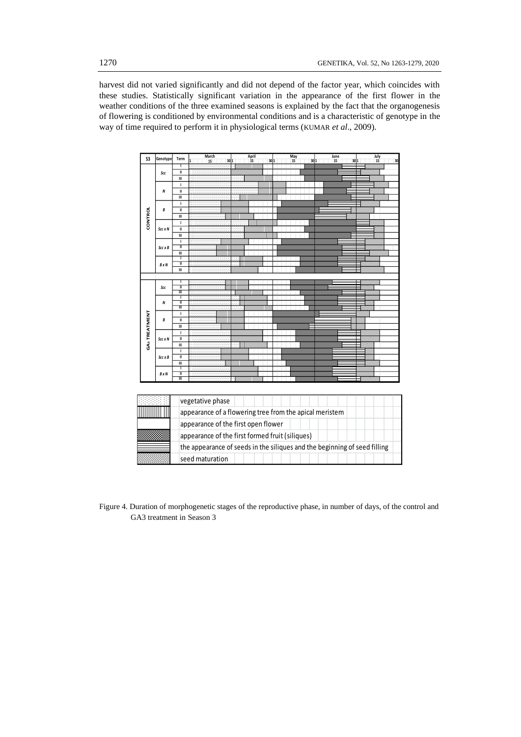harvest did not varied significantly and did not depend of the factor year, which coincides with these studies. Statistically significant variation in the appearance of the first flower in the weather conditions of the three examined seasons is explained by the fact that the organogenesis of flowering is conditioned by environmental conditions and is a characteristic of genotype in the way of time required to perform it in physiological terms (KUMAR *et al*., 2009).



Figure 4. Duration of morphogenetic stages of the reproductive phase, in number of days, of the control and GA3 treatment in Season 3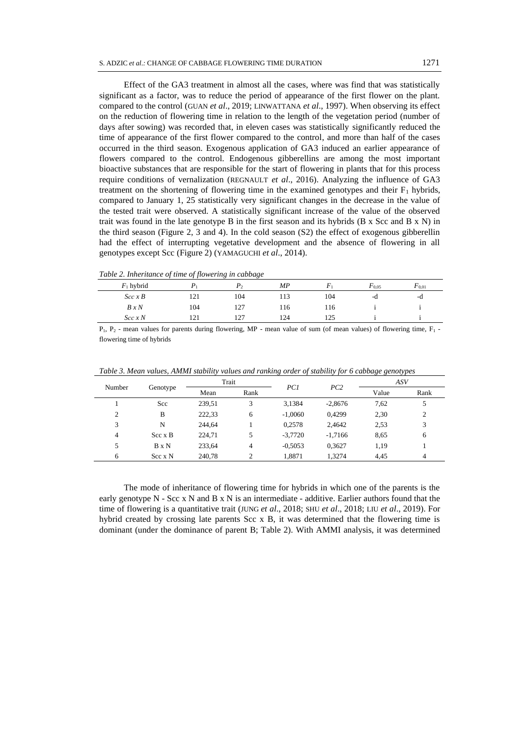Effect of the GA3 treatment in almost all the cases, where was find that was statistically significant as a factor, was to reduce the period of appearance of the first flower on the plant. compared to the control (GUAN *et al*., 2019; LINWATTANA *et al*., 1997). When observing its effect on the reduction of flowering time in relation to the length of the vegetation period (number of days after sowing) was recorded that, in eleven cases was statistically significantly reduced the time of appearance of the first flower compared to the control, and more than half of the cases occurred in the third season. Exogenous application of GA3 induced an earlier appearance of flowers compared to the control. Endogenous gibberellins are among the most important bioactive substances that are responsible for the start of flowering in plants that for this process require conditions of vernalization (REGNAULT *et al*., 2016). Analyzing the influence of GA3 treatment on the shortening of flowering time in the examined genotypes and their  $F_1$  hybrids, compared to January 1, 25 statistically very significant changes in the decrease in the value of the tested trait were observed. A statistically significant increase of the value of the observed trait was found in the late genotype B in the first season and its hybrids  $(B \times \text{Scc and } B \times \text{N})$  in the third season (Figure 2, 3 and 4). In the cold season (S2) the effect of exogenous gibberellin had the effect of interrupting vegetative development and the absence of flowering in all genotypes except Scc (Figure 2) (YAMAGUCHI *et al*., 2014).

*Table 2. Inheritance of time of flowering in cabbage*

| $F_{0.01}$ |
|------------|
| -d         |
|            |
|            |
|            |

 $P_1$ ,  $P_2$  - mean values for parents during flowering, MP - mean value of sum (of mean values) of flowering time,  $F_1$  flowering time of hybrids

|        |                | Trait  |               |           |           | ASV   |               |
|--------|----------------|--------|---------------|-----------|-----------|-------|---------------|
| Number | Genotype       | Mean   | Rank          | PC1       | PC2       | Value | Rank          |
|        | Scc            | 239,51 | 3             | 3,1384    | $-2.8676$ | 7,62  | 5             |
| 2      | B              | 222,33 | 6             | $-1,0060$ | 0.4299    | 2,30  | $\mathcal{L}$ |
| 3      | N              | 244.64 |               | 0,2578    | 2,4642    | 2.53  | 3             |
| 4      | $Scc \times B$ | 224.71 | 5             | $-3,7720$ | $-1.7166$ | 8,65  | 6             |
| 5      | $B \times N$   | 233,64 | 4             | $-0,5053$ | 0,3627    | 1,19  |               |
| 6      | $Scc \times N$ | 240.78 | $\mathcal{L}$ | 1.8871    | 1.3274    | 4.45  | 4             |

*Table 3. Mean values, AMMI stability values and ranking order of stability for 6 cabbage genotypes*

The mode of inheritance of flowering time for hybrids in which one of the parents is the early genotype  $N - Sec \times N$  and  $B \times N$  is an intermediate - additive. Earlier authors found that the time of flowering is a quantitative trait (JUNG *et al*., 2018; SHU *et al*., 2018; LIU *et al*., 2019). For hybrid created by crossing late parents Scc x B, it was determined that the flowering time is dominant (under the dominance of parent B; Table 2). With AMMI analysis, it was determined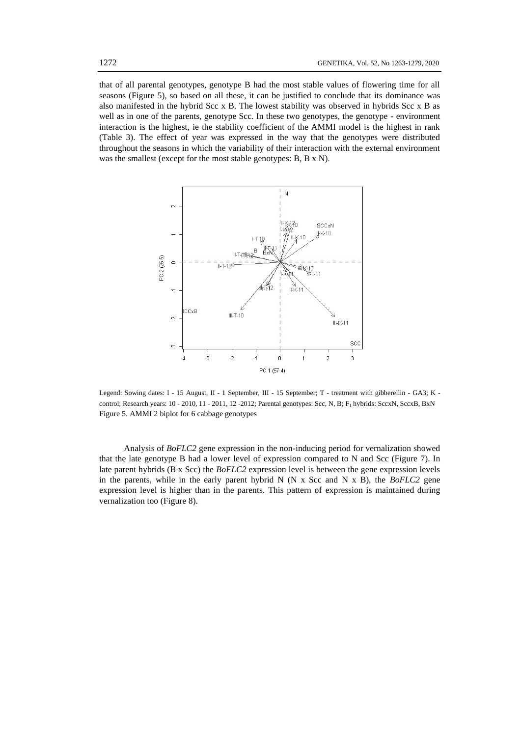that of all parental genotypes, genotype B had the most stable values of flowering time for all seasons (Figure 5), so based on all these, it can be justified to conclude that its dominance was also manifested in the hybrid Scc x B. The lowest stability was observed in hybrids Scc x B as well as in one of the parents, genotype Scc. In these two genotypes, the genotype - environment interaction is the highest, ie the stability coefficient of the AMMI model is the highest in rank (Table 3). The effect of year was expressed in the way that the genotypes were distributed throughout the seasons in which the variability of their interaction with the external environment was the smallest (except for the most stable genotypes: B, B x N).



Legend: Sowing dates: I - 15 August, II - 1 September, III - 15 September; T - treatment with gibberellin - GA3; K control; Research years: 10 - 2010, 11 - 2011, 12 -2012; Parental genotypes: Scc, N, B; F<sup>1</sup> hybrids: SccxN, SccxB, BxN Figure 5. AMMI 2 biplot for 6 cabbage genotypes

Analysis of *BoFLC2* gene expression in the non-inducing period for vernalization showed that the late genotype B had a lower level of expression compared to N and Scc (Figure 7). In late parent hybrids (B x Scc) the *BoFLC2* expression level is between the gene expression levels in the parents, while in the early parent hybrid N (N x Scc and N x B), the *BoFLC2* gene expression level is higher than in the parents. This pattern of expression is maintained during vernalization too (Figure 8).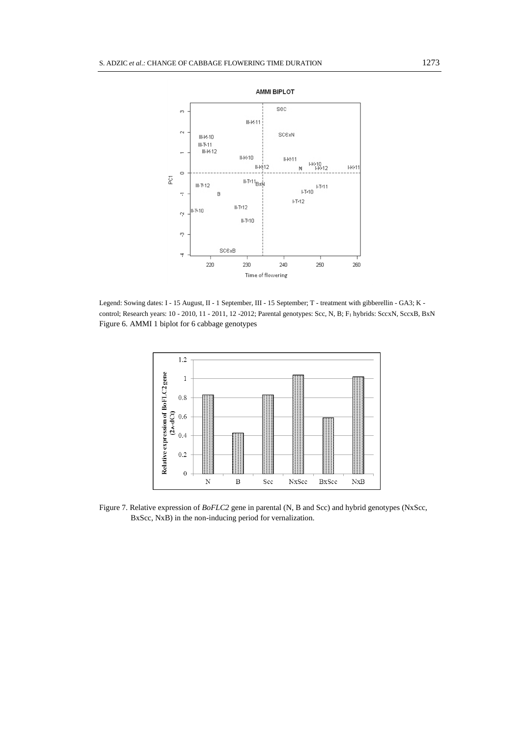

Legend: Sowing dates: I - 15 August, II - 1 September, III - 15 September; T - treatment with gibberellin - GA3; K control; Research years: 10 - 2010, 11 - 2011, 12 -2012; Parental genotypes: Scc, N, B; F<sub>1</sub> hybrids: SccxN, SccxB, BxN Figure 6. AMMI 1 biplot for 6 cabbage genotypes



Figure 7. Relative expression of *BoFLC2* gene in parental (N, B and Scc) and hybrid genotypes (NxScc, BxScc, NxB) in the non-inducing period for vernalization.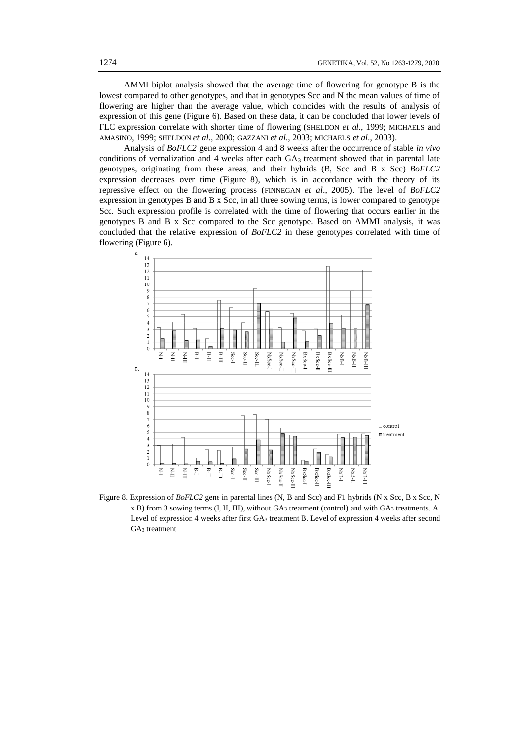AMMI biplot analysis showed that the average time of flowering for genotype B is the lowest compared to other genotypes, and that in genotypes Scc and N the mean values of time of flowering are higher than the average value, which coincides with the results of analysis of expression of this gene (Figure 6). Based on these data, it can be concluded that lower levels of FLC expression correlate with shorter time of flowering (SHELDON *et al*., 1999; MICHAELS and AMASINO, 1999; SHELDON *et al*., 2000; GAZZANI *et al*., 2003; MICHAELS *et al*., 2003).

Analysis of *BoFLC2* gene expression 4 and 8 weeks after the occurrence of stable *in vivo* conditions of vernalization and 4 weeks after each  $GA_3$  treatment showed that in parental late genotypes, originating from these areas, and their hybrids (B, Scc and B x Scc) *BoFLC2*  expression decreases over time (Figure 8), which is in accordance with the theory of its repressive effect on the flowering process (FINNEGAN *et al*., 2005). The level of *BoFLC2*  expression in genotypes B and B x Scc, in all three sowing terms, is lower compared to genotype Scc. Such expression profile is correlated with the time of flowering that occurs earlier in the genotypes B and B x Scc compared to the Scc genotype. Based on AMMI analysis, it was concluded that the relative expression of *BoFLC2* in these genotypes correlated with time of flowering (Figure 6).



Figure 8. Expression of *BoFLC2* gene in parental lines (N, B and Scc) and F1 hybrids (N x Scc, B x Scc, N x B) from 3 sowing terms (I, II, III), without GA<sup>3</sup> treatment (control) and with GA<sup>3</sup> treatments. A. Level of expression 4 weeks after first GA<sup>3</sup> treatment B. Level of expression 4 weeks after second GA<sup>3</sup> treatment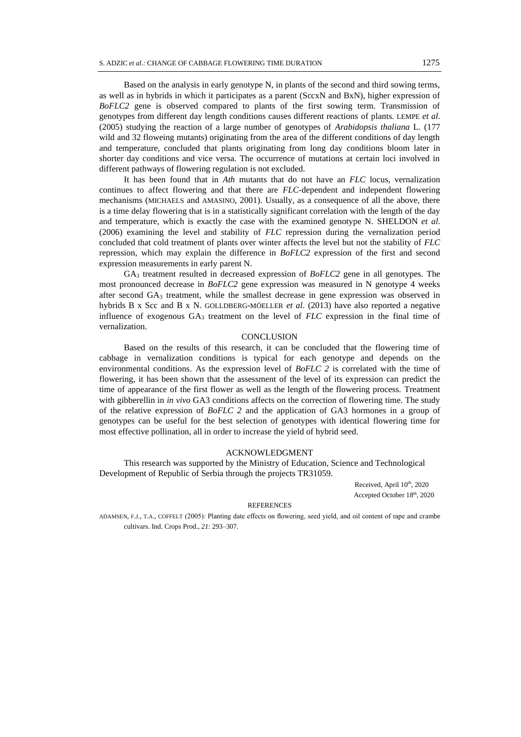Based on the analysis in early genotype N, in plants of the second and third sowing terms, as well as in hybrids in which it participates as a parent (SccxN and BxN), higher expression of *BoFLC2* gene is observed compared to plants of the first sowing term. Transmission of genotypes from different day length conditions causes different reactions of plants. LEMPE *et al*. (2005) studying the reaction of a large number of genotypes of *Arabidopsis thaliana* L. (177 wild and 32 floweing mutants) originating from the area of the different conditions of day length and temperature, concluded that plants originating from long day conditions bloom later in shorter day conditions and vice versa. The occurrence of mutations at certain loci involved in different pathways of flowering regulation is not excluded.

It has been found that in *Ath* mutants that do not have an *FLC* locus, vernalization continues to affect flowering and that there are *FLC*-dependent and independent flowering mechanisms (MICHAELS and AMASINO, 2001). Usually, as a consequence of all the above, there is a time delay flowering that is in a statistically significant correlation with the length of the day and temperature, which is exactly the case with the examined genotype N. SHELDON *et al*. (2006) examining the level and stability of *FLC* repression during the vernalization period concluded that cold treatment of plants over winter affects the level but not the stability of *FLC* repression, which may explain the difference in *BoFLC2* expression of the first and second expression measurements in early parent N.

GA<sup>3</sup> treatment resulted in decreased expression of *BoFLC2* gene in all genotypes. The most pronounced decrease in *BoFLC2* gene expression was measured in N genotype 4 weeks after second GA<sup>3</sup> treatment, while the smallest decrease in gene expression was observed in hybrids B x Scc and B x N. GOLLDBERG-MÖELLER *et al*. (2013) have also reported a negative influence of exogenous GA<sup>3</sup> treatment on the level of *FLC* expression in the final time of vernalization.

## **CONCLUSION**

Based on the results of this research, it can be concluded that the flowering time of cabbage in vernalization conditions is typical for each genotype and depends on the environmental conditions. As the expression level of *BoFLC 2* is correlated with the time of flowering, it has been shown that the assessment of the level of its expression can predict the time of appearance of the first flower as well as the length of the flowering process. Treatment with gibberellin in *in vivo* GA3 conditions affects on the correction of flowering time. The study of the relative expression of *BoFLC 2* and the application of GA3 hormones in a group of genotypes can be useful for the best selection of genotypes with identical flowering time for most effective pollination, all in order to increase the yield of hybrid seed.

### ACKNOWLEDGMENT

This research was supported by the Ministry of Education, Science and Technological Development of Republic of Serbia through the projects TR31059.

Received, April 10<sup>th</sup>, 2020 Accepted October 18th , 2020

#### REFERENCES

ADAMSEN, F.J., T.A., COFFELT (2005): Planting date effects on flowering, seed yield, and oil content of rape and crambe cultivars. Ind. Crops Prod., *21*: 293–307.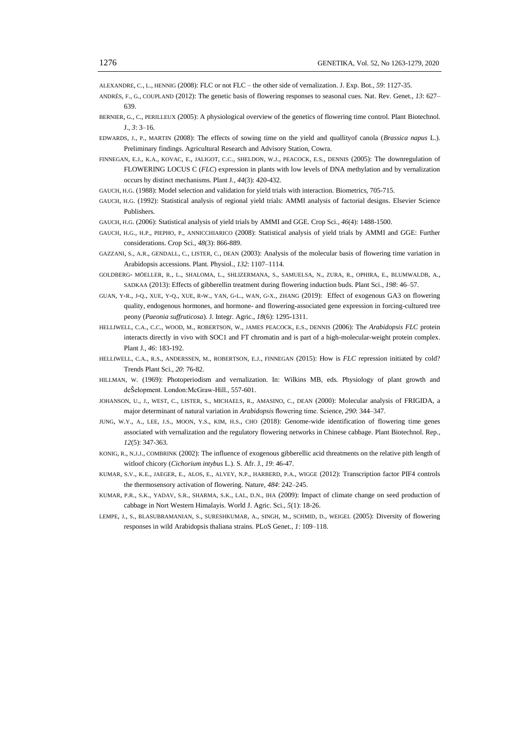ALEXANDRE, C., L., HENNIG (2008): FLC or not FLC – the other side of vernalization. J. Exp. Bot., *59*: 1127-35.

- ANDRÉS, F., G., COUPLAND (2012): The genetic basis of flowering responses to seasonal cues. Nat. Rev. Genet., *13*: 627– 639.
- BERNIER, G., C., PERILLEUX (2005): A physiological overview of the genetics of flowering time control. Plant Biotechnol. J., *3*: 3–16.
- EDWARDS, J., P., MARTIN (2008): The effects of sowing time on the yield and quallityof canola (*Brassica napus* L.). Preliminary findings. Agricultural Research and Advisory Station, Cowra.
- FINNEGAN, E.J., K.A., KOVAC, E., JALIGOT, C.C., SHELDON, W.J., PEACOCK, E.S., DENNIS (2005): The downregulation of FLOWERING LOCUS C (*FLC*) expression in plants with low levels of DNA methylation and by vernalization occurs by distinct mechanisms. Plant J., *44*(3): 420-432.
- GAUCH, H.G. (1988): Model selection and validation for yield trials with interaction. Biometrics, 705-715.
- GAUCH, H.G. (1992): Statistical analysis of regional yield trials: AMMI analysis of factorial designs. Elsevier Science Publishers.
- GAUCH, H.G. (2006): Statistical analysis of yield trials by AMMI and GGE. Crop Sci., *46*(4): 1488-1500.
- GAUCH, H.G., H.P., PIEPHO, P., ANNICCHIARICO (2008): Statistical analysis of yield trials by AMMI and GGE: Further considerations. Crop Sci., *48*(3): 866-889.
- GAZZANI, S., A.R., GENDALL, C., LISTER, C., DEAN (2003): Analysis of the molecular basis of flowering time variation in Arabidopsis accessions. Plant. Physiol., *132*: 1107–1114.
- GOLDBERG- MÖELLER, R., L., SHALOMA, L., SHLIZERMANA, S., SAMUELSA, N., ZURA, R., OPHIRA, E., BLUMWALDB, A., SADKAA (2013): Effects of gibberellin treatment during flowering induction buds. Plant Sci., *198*: 46–57.
- GUAN, Y-R., J-Q., XUE, Y-Q., XUE, R-W., YAN, G-L., WAN, G-X., ZHANG (2019): Effect of exogenous GA3 on flowering quality, endogenous hormones, and hormone- and flowering-associated gene expression in forcing-cultured tree peony (*Paeonia suffruticosa*). J. Integr. Agric., *18*(6): 1295-1311.
- HELLIWELL, C.A., C.C., WOOD, M., ROBERTSON, W., JAMES PEACOCK, E.S., DENNIS (2006): The *Arabidopsis FLC* protein interacts directly in vivo with SOC1 and FT chromatin and is part of a high-molecular-weight protein complex. Plant J., *46*: 183-192.
- HELLIWELL, C.A., R.S., ANDERSSEN, M., ROBERTSON, E.J., FINNEGAN (2015): How is *FLC* repression initiated by cold? Trends Plant Sci., *20*: 76-82.
- HILLMAN, W. (1969): Photoperiodism and vernalization. In: Wilkins MB, eds. Physiology of plant growth and deŠelopment. London:McGraw-Hill., 557-601.
- JOHANSON, U., J., WEST, C., LISTER, S., MICHAELS, R., AMASINO, C., DEAN (2000): Molecular analysis of FRIGIDA, a major determinant of natural variation in *Arabidopsis* flowering time. Science, *290*: 344–347.
- JUNG, W.Y., A., LEE, J.S., MOON, Y.S., KIM, H.S., CHO (2018): Genome-wide identification of flowering time genes associated with vernalization and the regulatory flowering networks in Chinese cabbage. Plant Biotechnol. Rep., *12*(5): 347-363.
- KONIG, R., N.J.J., COMBRINK (2002): The influence of exogenous gibberellic acid threatments on the relative pith length of witloof chicory (*Cichorium intybus* L.). S. Afr. J., *19*: 46-47.
- KUMAR, S.V., K.E., JAEGER, E., ALOS, E., ALVEY, N.P., HARBERD, P.A., WIGGE (2012): Transcription factor PIF4 controls the thermosensory activation of flowering. Nature, *484*: 242–245.
- KUMAR, P.R., S.K., YADAV, S.R., SHARMA, S.K., LAL, D.N., IHA (2009): Impact of climate change on seed production of cabbage in Nort Western Himalayis. World J. Agric. Sci., *5*(1): 18-26.
- LEMPE, J., S., BLASUBRAMANIAN, S., SURESHKUMAR, A., SINGH, M., SCHMID, D., WEIGEL (2005): Diversity of flowering responses in wild Arabidopsis thaliana strains. PLoS Genet., *1*: 109–118.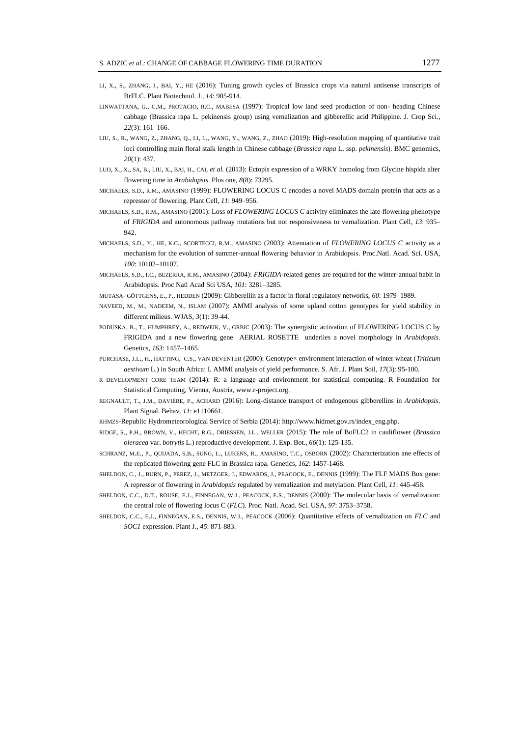- LI, X., S., ZHANG, J., BAI, Y., HE (2016): Tuning growth cycles of Brassica crops via natural antisense transcripts of BrFLC. Plant Biotechnol. J., *14*: 905-914.
- LINWATTANA, G., C.M., PROTACIO, R.C., MABESA (1997): Tropical low land seed production of non- heading Chinese cabbage (Brassica rapa L. pekinensis group) using vernalization and gibberellic acid Philippine. J. Crop Sci., *22*(3): 161–166.
- LIU, S., R., WANG, Z., ZHANG, Q., LI, L., WANG, Y., WANG, Z., ZHAO (2019): High-resolution mapping of quantitative trait loci controlling main floral stalk length in Chinese cabbage (*Brassica rapa* L. ssp. *pekinensis*). BMC genomics, *20*(1): 437.
- LUO, X., X., SA, B., LIU, X., BAI, H., CAI, *et al.* (2013): Ectopis expression of a WRKY homolog from Glycine hispida alter flowering time in *Arabidopsis*. Plos one, *8*(8): 73295.
- MICHAELS, S.D., R.M., AMASINO (1999): FLOWERING LOCUS C encodes a novel MADS domain protein that acts as a repressor of flowering. Plant Cell, *11*: 949–956.
- MICHAELS, S.D., R.M., AMASINO (2001): Loss of *FLOWERING LOCUS C* activity eliminates the late-flowering phenotype of *FRIGIDA* and autonomous pathway mutations but not responsiveness to vernalization. Plant Cell, *13*: 935– 942.
- MICHAELS, S.D., Y., HE, K.C., SCORTECCI, R.M., AMASINO (2003): Attenuation of *FLOWERING LOCUS C* activity as a mechanism for the evolution of summer-annual flowering behavior in Arabidopsis. Proc.Natl. Acad. Sci. USA, *100*: 10102–10107.
- MICHAELS, S.D., I.C., BEZERRA, R.M., AMASINO (2004): *FRIGIDA*-related genes are required for the winter-annual habit in Arabidopsis. Proc Natl Acad Sci USA, *101*: 3281–3285.
- MUTASA- GÖTTGENS, E., P., HEDDEN (2009): Gibberellin as a factor in floral regulatory networks, *60*: 1979–1989.
- NAVEED, M., M., NADEEM, N., ISLAM (2007): AMMI analysis of some upland cotton genotypes for yield stability in different milieus. WJAS, *3*(1): 39-44.
- РODUSKA, B., T., HUMPHREY, A., REDWEIK, V., GRBIC (2003): The synergistic activation of FLOWERING LOCUS C by FRIGIDA and a new flowering gene AERIAL ROSETTE underlies a novel morphology in *Arabidopsis*. Genetics, *163*: 1457–1465.
- PURCHASE, J.L., H., HATTING, C.S., VAN DEVENTER (2000): Genotype× environment interaction of winter wheat (*Triticum aestivum* L.) in South Africa: I. AMMI analysis of yield performance. S. Afr. J. Plant Soil, *17*(3): 95-100.
- R DEVELOPMENT CORE TEAM (2014): R: a language and environment for statistical computing. R Foundation for Statistical Computing, Vienna, Austria, www.r-project.org.
- REGNAULT, T., J.M., DAVIÈRE, P., ACHARD (2016): Long-distance transport of endogenous gibberellins in *Arabidopsis*. Plant Signal. Behav. *11*: e1110661.
- RHMZS-Republic Hydrometeorological Service of Serbia (2014): http://www.hidmet.gov.rs/index\_eng.php.
- RIDGE, S., P.H., BROWN, V., HECHT, R.G., DRIESSEN, J.L., WELLER (2015): The role of BoFLC2 in cauliflower (*Brassica oleracea* var. *botrytis* L.) reproductive development. J. Exp. Bot., *66*(1): 125-135.
- SCHRANZ, M.E., P., QUIJADA, S.B., SUNG, L., LUKENS, R., AMASINO, T.C., OSBORN (2002): Characterization ane effects of the replicated flowering gene FLC in Brassica rapa. Genetics, *162*: 1457-1468.
- SHELDON, C., J., BURN, P., PEREZ, J., METZGER, J., EDWARDS, J., PEACOCK, E., DENNIS (1999): The FLF MADS Box gene: A repressor of flowering in *Arabidopsis* regulated by vernalization and metylation. Plant Cell, *11*: 445-458.
- SHELDON, C.C., D.T., ROUSE, E.J., FINNEGAN, W.J., PEACOCK, E.S., DENNIS (2000): The molecular basis of vernalization: the central role of flowering locus C (*FLC*). Proc. Natl. Acad. Sci. USA, *97*: 3753–3758.
- SHELDON, C.C., E.J., FINNEGAN, E.S., DENNIS, W.J., PEACOCK (2006): Quantitative effects of vernalization on *FLC* and *SOC1* expression. Plant J., *45*: 871-883.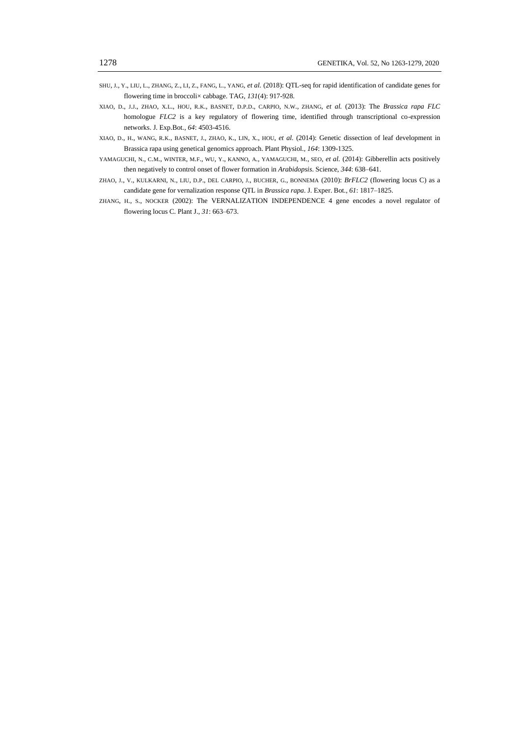- SHU, J., Y., LIU, L., ZHANG, Z., LI, Z., FANG, L., YANG, *et al.* (2018): QTL-seq for rapid identification of candidate genes for flowering time in broccoli× cabbage. TAG, *131*(4): 917-928.
- XIAO, D., J.J., ZHAO, X.L., HOU, R.K., BASNET, D.P.D., CARPIO, N.W., ZHANG*, et al.* (2013): The *Brassica rapa FLC* homologue *FLC2* is a key regulatory of flowering time, identified through transcriptional co-expression networks. J. Exp.Bot., *64*: 4503-4516.
- XIAO, D., H., WANG, R.K., BASNET, J., ZHAO, K., LIN, X., HOU, *et al.* (2014): Genetic dissection of leaf development in Brassica rapa using genetical genomics approach. Plant Physiol., *164*: 1309-1325.
- YAMAGUCHI, N., C.M., WINTER, M.F., WU, Y., KANNO, A., YAMAGUCHI, M., SEO, *et al.* (2014): Gibberellin acts positively then negatively to control onset of flower formation in *Arabidopsis*. Science, *344*: 638–641.
- ZHAO, J., V., KULKARNI, N., LIU, D.P., DEL CARPIO, J., BUCHER, G., BONNEMA (2010): *BrFLC2* (flowering locus C) as a candidate gene for vernalization response QTL in *Brassica rapa*. J. Exper. Bot., *61*: 1817–1825.
- ZHANG, H., S., NOCKER (2002): The VERNALIZATION INDEPENDENCE 4 gene encodes a novel regulator of flowering locus C. Plant J., *31*: 663–673.